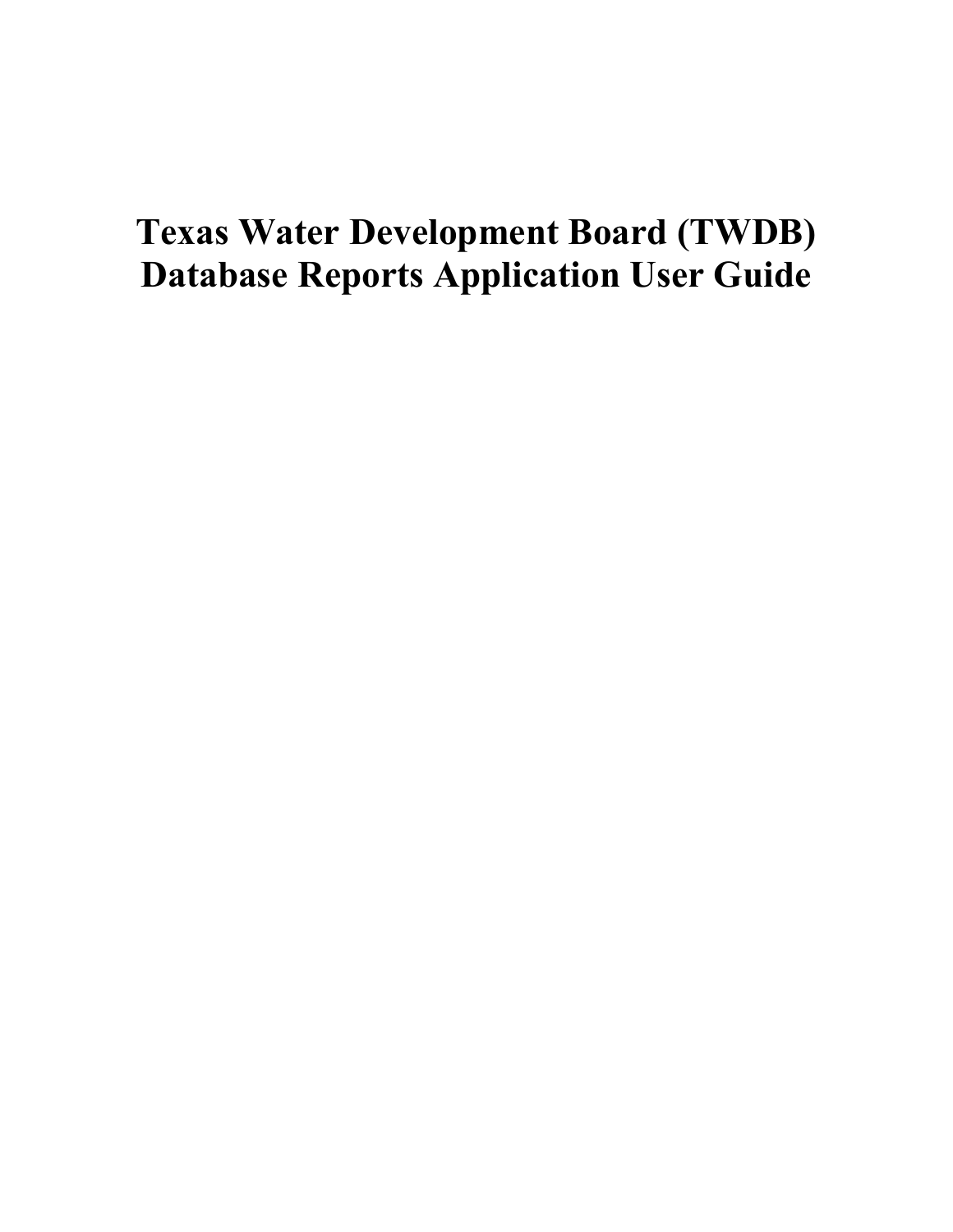# **Texas Water Development Board (TWDB) Database Reports Application User Guide**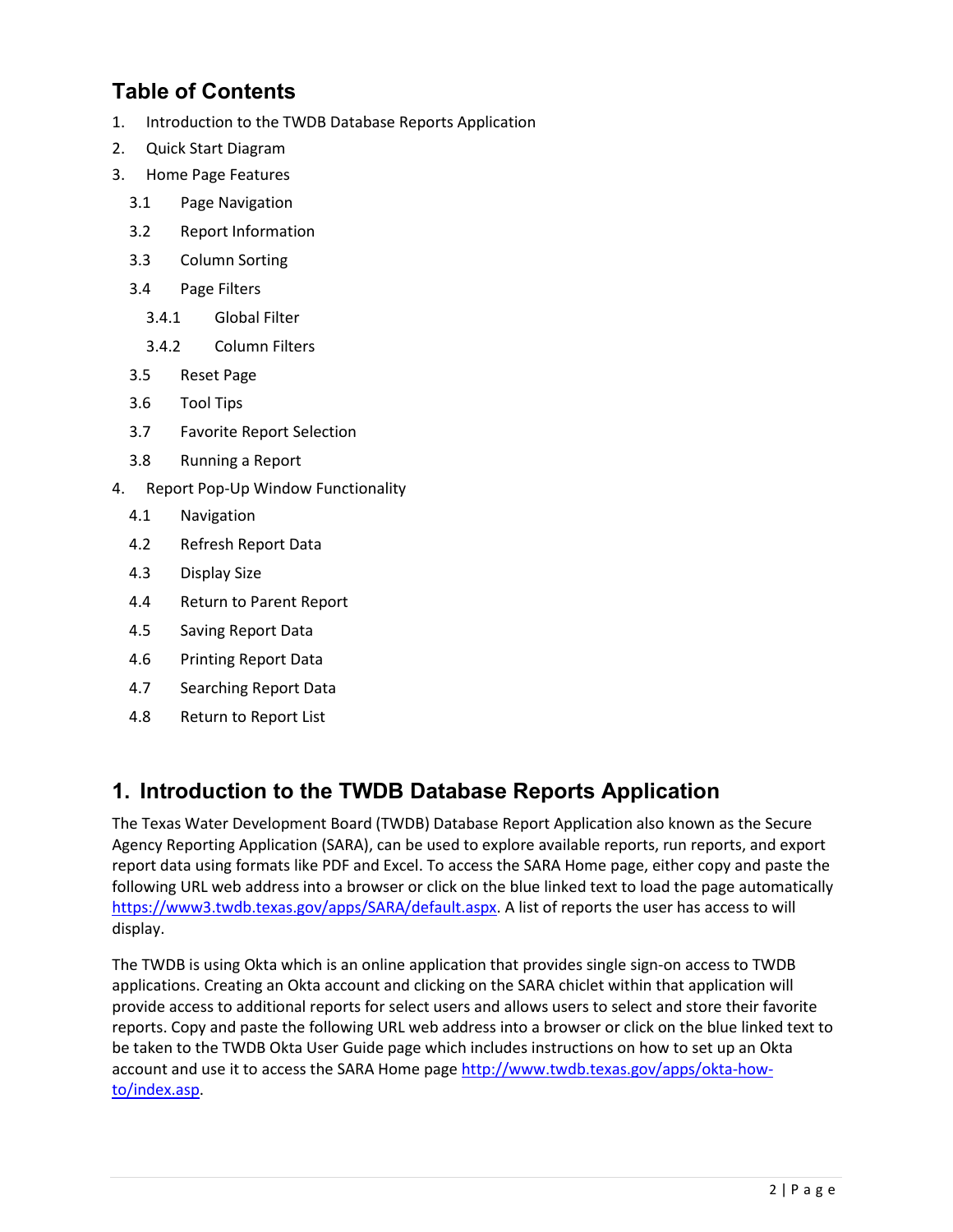# **Table of Contents**

- 1. [Introduction to the TWDB Database Reports Application](#page-1-0)
- 2. [Quick Start Diagram](#page-2-0)
- 3. [Home Page Features](#page-3-0)
	- 3.1 [Page Navigation](#page-3-1)
	- 3.2 [Report Information](#page-4-0)
	- 3.3 [Column Sorting](#page-4-1)
	- 3.4 [Page Filters](#page-4-2)
		- 3.4.1 [Global Filter](#page-4-3)
		- 3.4.2 [Column Filters](#page-5-0)
	- 3.5 [Reset Page](#page-6-0)
	- 3.6 [Tool Tips](#page-6-1)
	- 3.7 [Favorite Report Selection](#page-7-0)
	- 3.8 [Running a Report](#page-8-0)
- 4. [Report Pop-Up Window Functionality](#page-8-1)
	- 4.1 [Navigation](#page-9-0)
	- 4.2 [Refresh Report Data](#page-9-1)
	- 4.3 [Display Size](#page-10-0)
	- 4.4 [Return to Parent Report](#page-10-1)
	- 4.5 [Saving Report Data](#page-11-0)
	- 4.6 [Printing Report Data](#page-13-0)
	- 4.7 [Searching Report Data](#page-14-0)
	- 4.8 [Return to Report List](#page-14-1)

# <span id="page-1-0"></span>**1. Introduction to the TWDB Database Reports Application**

The Texas Water Development Board (TWDB) Database Report Application also known as the Secure Agency Reporting Application (SARA), can be used to explore available reports, run reports, and export report data using formats like PDF and Excel. To access the SARA Home page, either copy and paste the following URL web address into a browser or click on the blue linked text to load the page automatically [https://www3.twdb.texas.gov/apps/SARA/default.aspx.](https://www3.twdb.texas.gov/apps/SARA/default.aspx) A list of reports the user has access to will display.

The TWDB is using Okta which is an online application that provides single sign-on access to TWDB applications. Creating an Okta account and clicking on the SARA chiclet within that application will provide access to additional reports for select users and allows users to select and store their favorite reports. Copy and paste the following URL web address into a browser or click on the blue linked text to be taken to the TWDB Okta User Guide page which includes instructions on how to set up an Okta account and use it to access the SARA Home pag[e http://www.twdb.texas.gov/apps/okta-how](http://www.twdb.texas.gov/apps/okta-how-to/index.asp)[to/index.asp.](http://www.twdb.texas.gov/apps/okta-how-to/index.asp)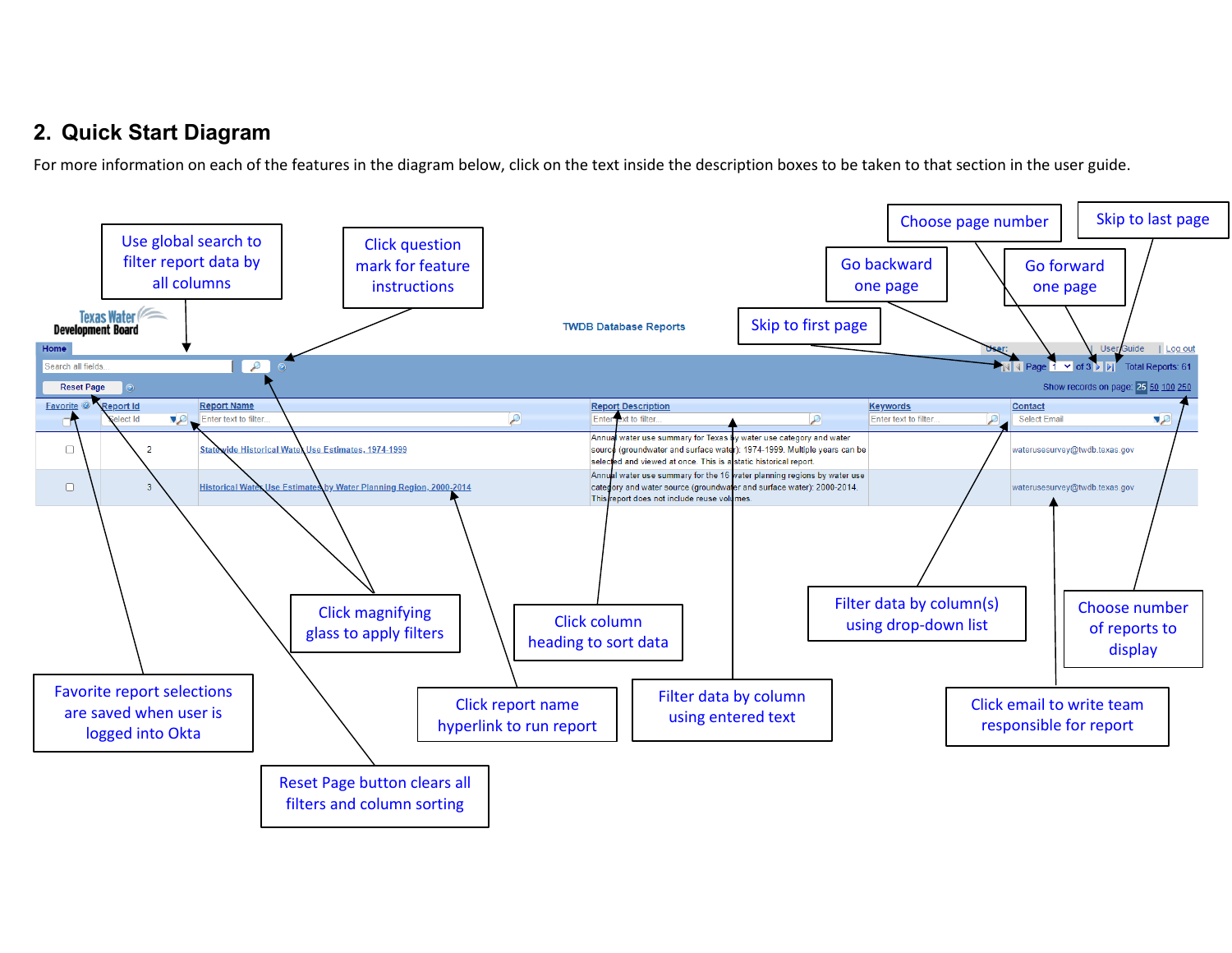# **2. Quick Start Diagram**

For more information on each of the features in the diagram below, click on the text inside the description boxes to be taken to that section in the user guide.

<span id="page-2-0"></span>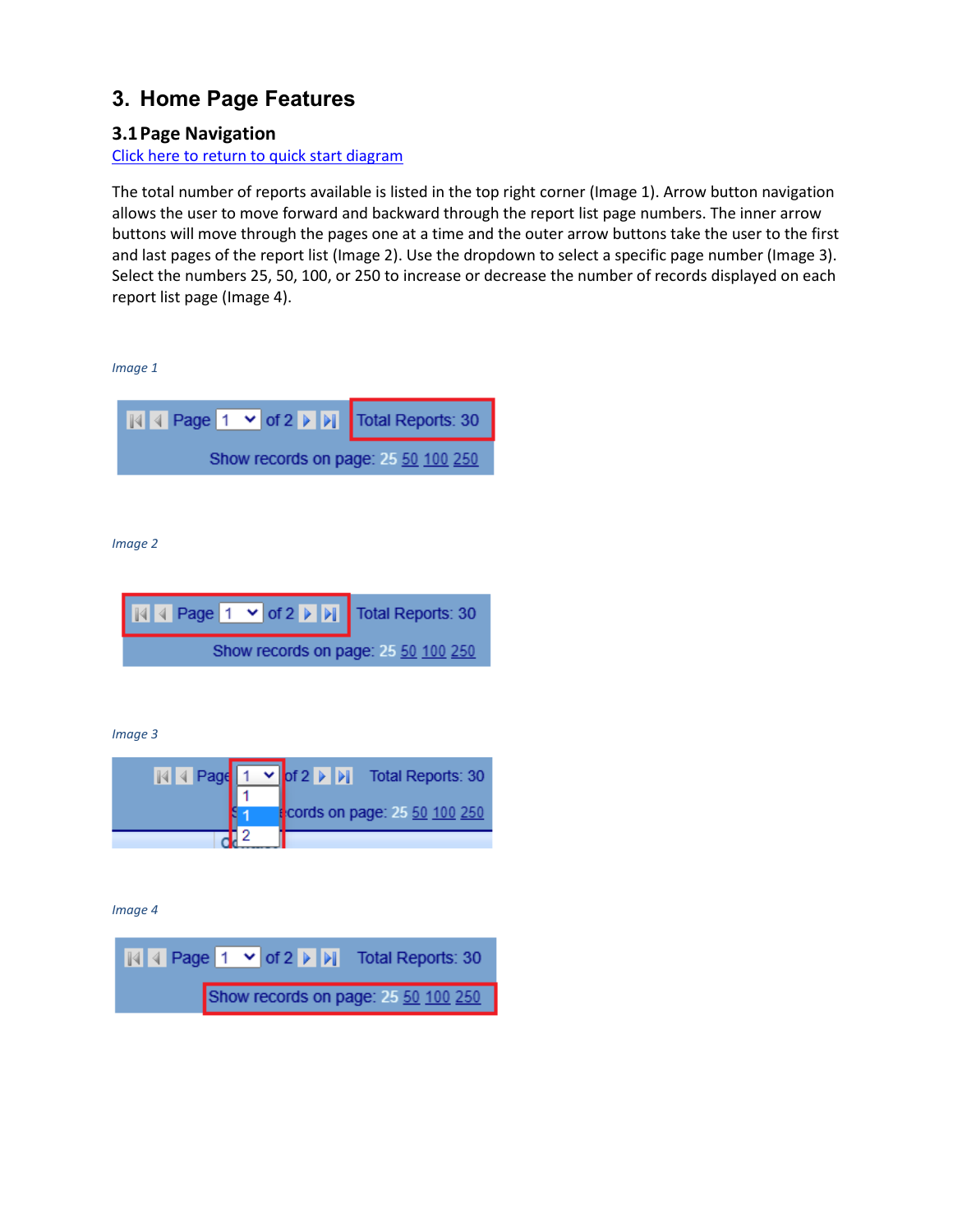# <span id="page-3-2"></span><span id="page-3-0"></span>**3. Home Page Features**

# <span id="page-3-1"></span>**3.1Page Navigation**

#### [Click here to return to quick start diagram](#page-2-0)

The total number of reports available is listed in the top right corner (Image 1). Arrow button navigation allows the user to move forward and backward through the report list page numbers. The inner arrow buttons will move through the pages one at a time and the outer arrow buttons take the user to the first and last pages of the report list (Image 2). Use the dropdown to select a specific page number (Image 3). Select the numbers 25, 50, 100, or 250 to increase or decrease the number of records displayed on each report list page (Image 4).

*Image 1* 



*Image 2* 



*Image 3* 

|  | $\sqrt{ \mathbb{A}  \cdot  \mathbb{A} }$ Page $\sqrt{ \mathbb{A}  \cdot  \mathbb{A} }$ Total Reports: 30 |
|--|----------------------------------------------------------------------------------------------------------|
|  |                                                                                                          |
|  | t <mark>:</mark> cords on page: 25 50 100 250                                                            |
|  |                                                                                                          |

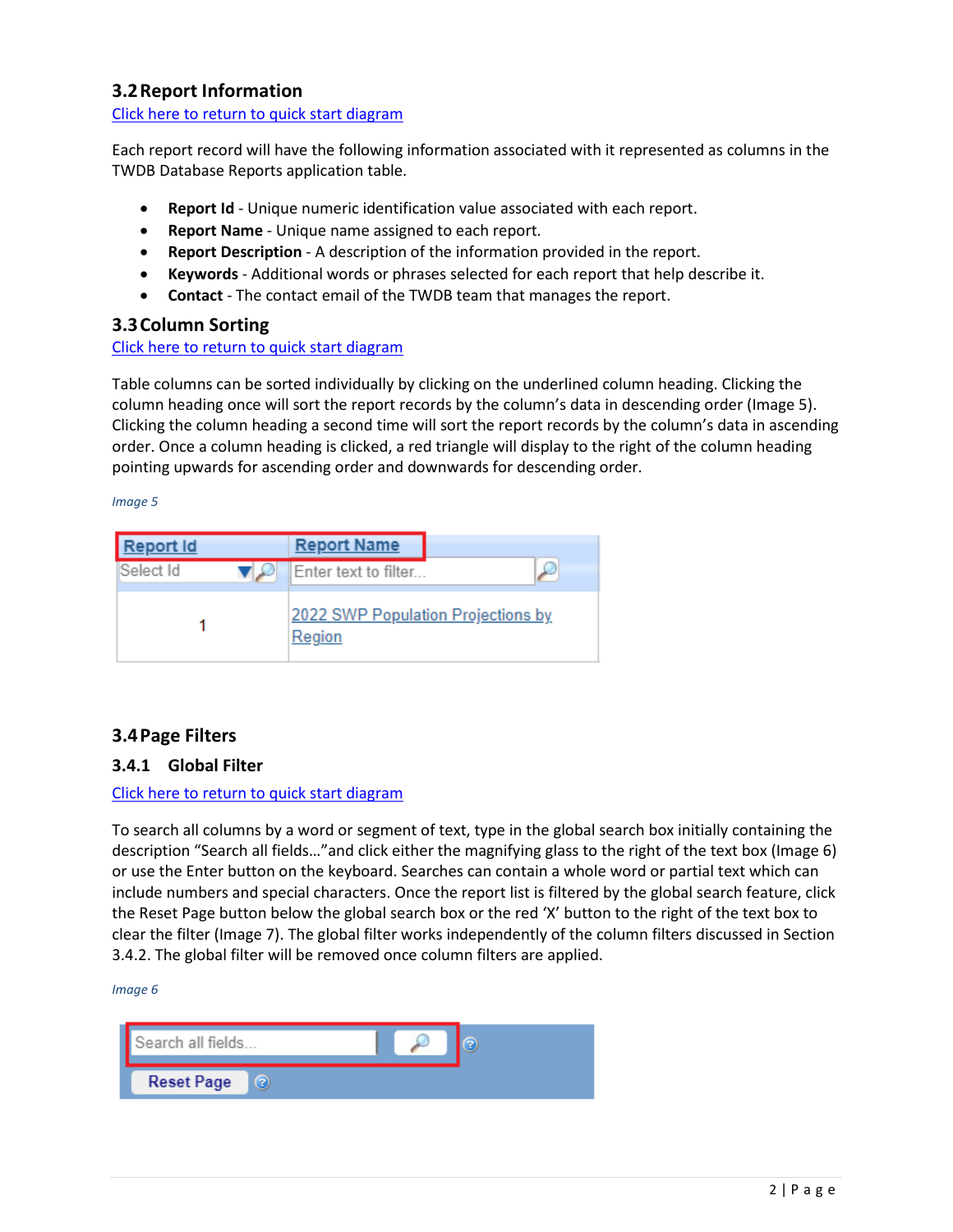# <span id="page-4-6"></span><span id="page-4-5"></span><span id="page-4-0"></span>**3.2Report Information**

[Click here to return to quick start diagram](#page-2-0)

Each report record will have the following information associated with it represented as columns in the TWDB Database Reports application table.

- **Report Id** Unique numeric identification value associated with each report.
- **Report Name** Unique name assigned to each report.
- **Report Description** A description of the information provided in the report.
- **Keywords** Additional words or phrases selected for each report that help describe it.
- **Contact** The contact email of the TWDB team that manages the report.

#### <span id="page-4-1"></span>**3.3Column Sorting**

#### [Click here to return to quick start diagram](#page-2-0)

Table columns can be sorted individually by clicking on the underlined column heading. Clicking the column heading once will sort the report records by the column's data in descending order (Image 5). Clicking the column heading a second time will sort the report records by the column's data in ascending order. Once a column heading is clicked, a red triangle will display to the right of the column heading pointing upwards for ascending order and downwards for descending order.

#### <span id="page-4-7"></span><span id="page-4-4"></span>*Image 5*

| Report Id | <b>Report Name</b>                           |  |
|-----------|----------------------------------------------|--|
| Select Id | Enter text to filter                         |  |
|           | 2022 SWP Population Projections by<br>Region |  |

# <span id="page-4-2"></span>**3.4Page Filters**

#### <span id="page-4-3"></span>**3.4.1 Global Filter**

#### [Click here to return to quick start diagram](#page-2-0)

To search all columns by a word or segment of text, type in the global search box initially containing the description "Search all fields…"and click either the magnifying glass to the right of the text box (Image 6) or use the Enter button on the keyboard. Searches can contain a whole word or partial text which can include numbers and special characters. Once the report list is filtered by the global search feature, click the Reset Page button below the global search box or the red 'X' button to the right of the text box to clear the filter (Image 7). The global filter works independently of the column filters discussed in Section 3.4.2. The global filter will be removed once column filters are applied.

| Search all fields      |  |
|------------------------|--|
| <b>Reset Page</b><br>? |  |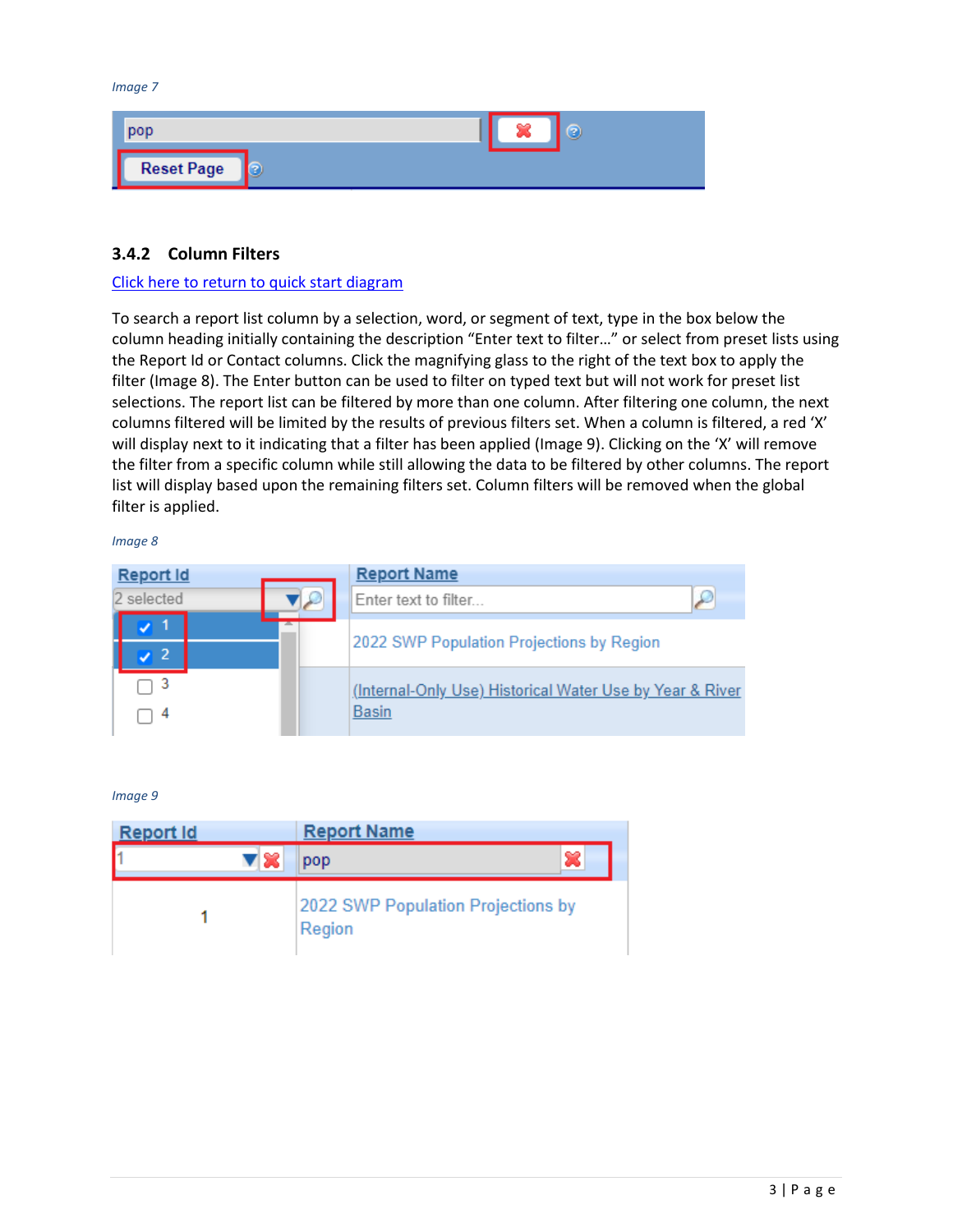<span id="page-5-1"></span>*Image 7* 



#### <span id="page-5-0"></span>**3.4.2 Column Filters**

#### [Click here to return to quick start diagram](#page-2-0)

To search a report list column by a selection, word, or segment of text, type in the box below the column heading initially containing the description "Enter text to filter…" or select from preset lists using the Report Id or Contact columns. Click the magnifying glass to the right of the text box to apply the filter (Image 8). The Enter button can be used to filter on typed text but will not work for preset list selections. The report list can be filtered by more than one column. After filtering one column, the next columns filtered will be limited by the results of previous filters set. When a column is filtered, a red 'X' will display next to it indicating that a filter has been applied (Image 9). Clicking on the 'X' will remove the filter from a specific column while still allowing the data to be filtered by other columns. The report list will display based upon the remaining filters set. Column filters will be removed when the global filter is applied.

*Image 8* 

| Report Id  | <b>Report Name</b>                                                       |
|------------|--------------------------------------------------------------------------|
| 2 selected | ρ<br>Enter text to filter                                                |
|            | 2022 SWP Population Projections by Region                                |
|            | (Internal-Only Use) Historical Water Use by Year & River<br><b>Basin</b> |

| <b>Report Id</b> | <b>Report Name</b>                           |
|------------------|----------------------------------------------|
| ▼ ※              | pop                                          |
|                  | 2022 SWP Population Projections by<br>Region |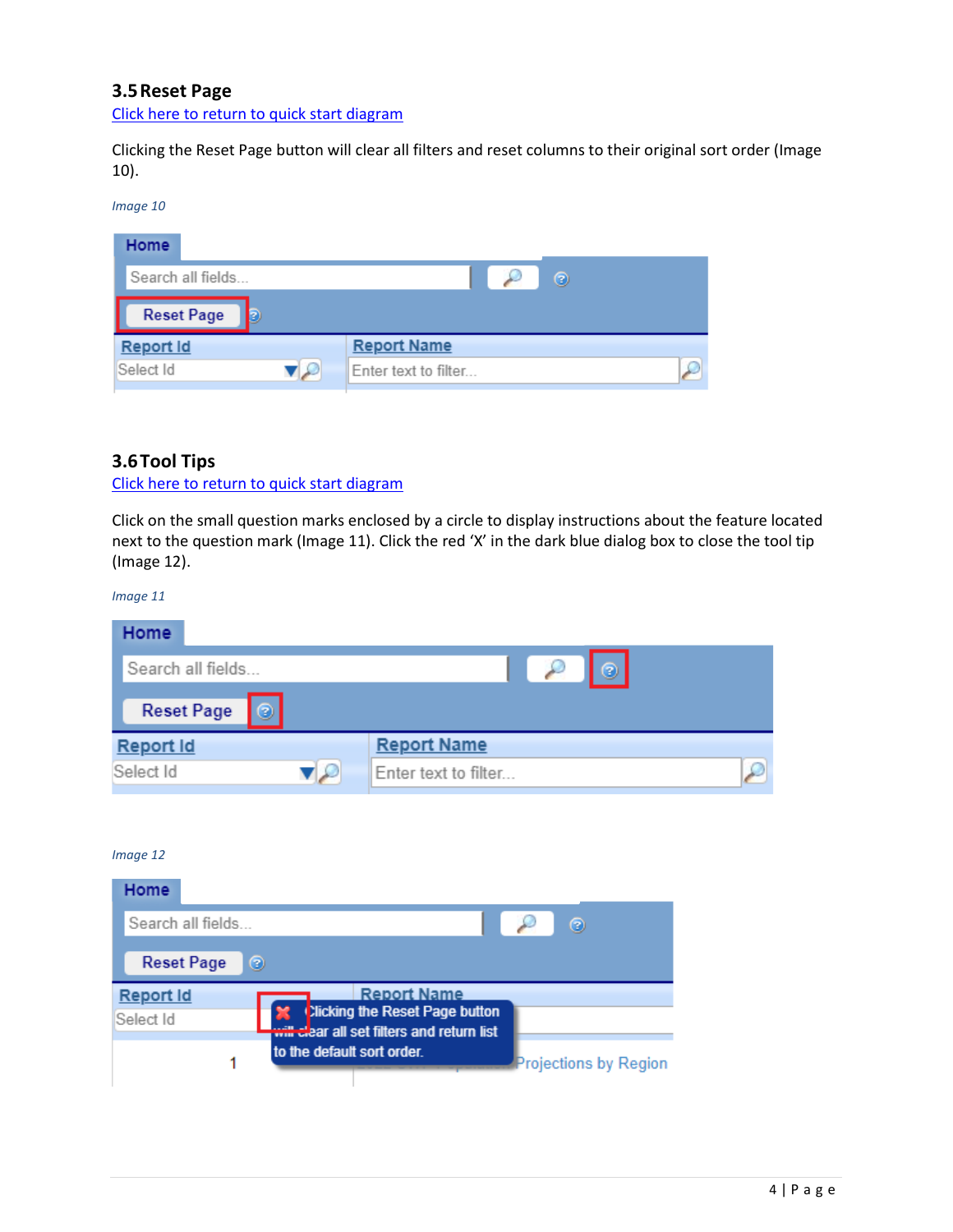# <span id="page-6-3"></span><span id="page-6-0"></span>**3.5Reset Page**

[Click here to return to quick start diagram](#page-2-0)

<span id="page-6-2"></span>Clicking the Reset Page button will clear all filters and reset columns to their original sort order (Image 10).

#### *Image 10*

| Home                   |                           |   |
|------------------------|---------------------------|---|
| Search all fields      |                           | ⊚ |
| <b>Reset Page</b><br>Ð |                           |   |
| <b>Report Id</b>       | <b>Report Name</b>        |   |
| Select Id              | Enter text to filter<br>W |   |

#### <span id="page-6-1"></span>**3.6Tool Tips**

[Click here to return to quick start diagram](#page-2-0)

Click on the small question marks enclosed by a circle to display instructions about the feature located next to the question mark (Image 11). Click the red 'X' in the dark blue dialog box to close the tool tip (Image 12).

*Image 11* 

| Home                   |                      |
|------------------------|----------------------|
| Search all fields      | $\sim$<br>$\odot$    |
| <b>Reset Page</b><br>⊚ |                      |
| Report Id              | <b>Report Name</b>   |
| Select Id              | Enter text to filter |

| <b>Home</b>                   |                                                                                                          |
|-------------------------------|----------------------------------------------------------------------------------------------------------|
| Search all fields             | ⊚                                                                                                        |
| <b>Reset Page</b>             | ☺                                                                                                        |
| <b>Report Id</b><br>Select Id | <b>Report Name</b><br><b>Xicking the Reset Page button</b><br>will clear all set filters and return list |
|                               | to the default sort order.<br><b>Projections by Region</b>                                               |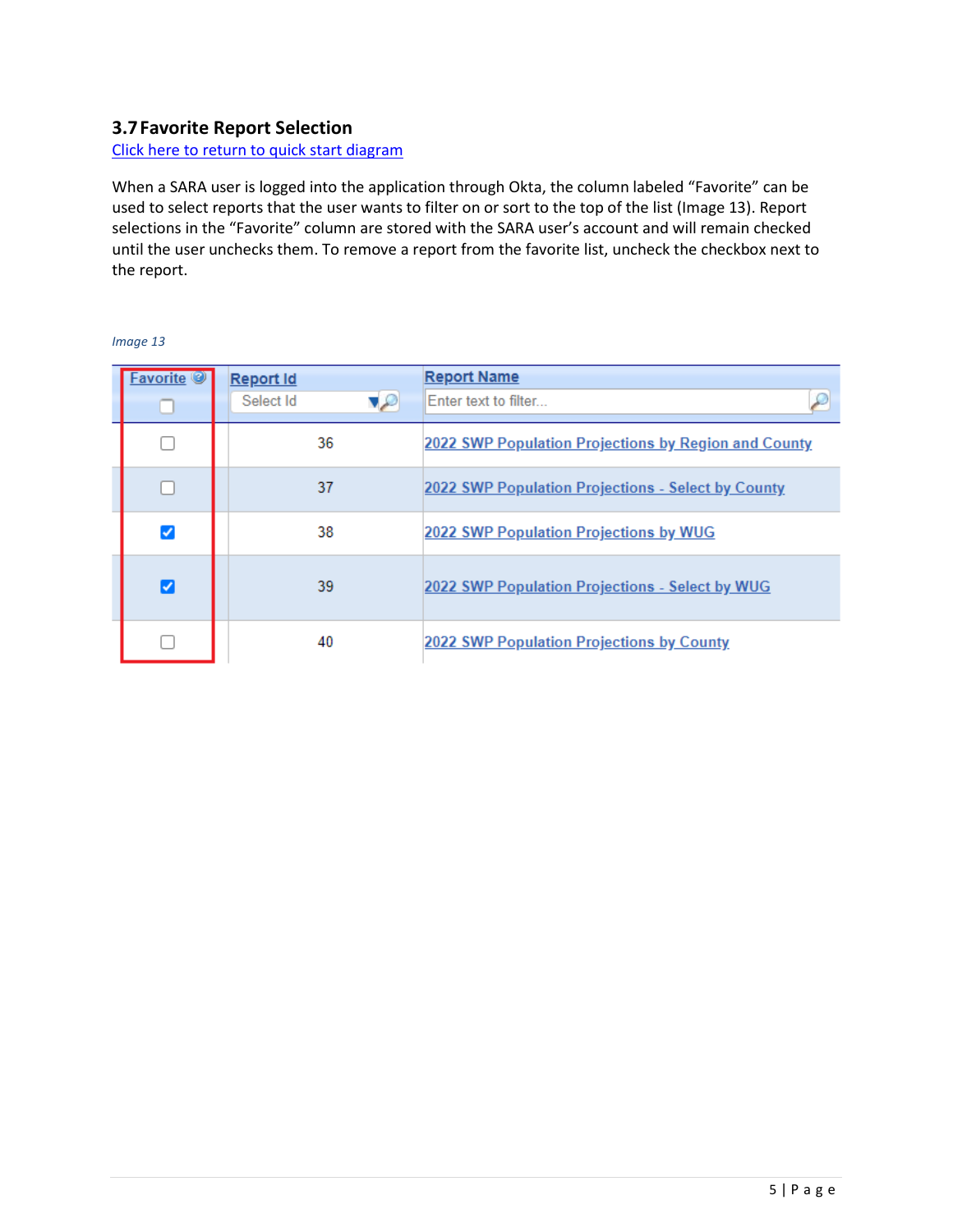## <span id="page-7-1"></span><span id="page-7-0"></span>**3.7Favorite Report Selection**

[Click here to return to quick start diagram](#page-2-0)

When a SARA user is logged into the application through Okta, the column labeled "Favorite" can be used to select reports that the user wants to filter on or sort to the top of the list (Image 13). Report selections in the "Favorite" column are stored with the SARA user's account and will remain checked until the user unchecks them. To remove a report from the favorite list, uncheck the checkbox next to the report.

| avorite <sup>o</sup> | <b>Report Id</b>        | <b>Report Name</b>                                   |
|----------------------|-------------------------|------------------------------------------------------|
|                      | $\sqrt{2}$<br>Select Id | Enter text to filter.                                |
|                      | 36                      | 2022 SWP Population Projections by Region and County |
|                      | 37                      | 2022 SWP Population Projections - Select by County   |
| ☑                    | 38                      | 2022 SWP Population Projections by WUG               |
| ø                    | 39                      | 2022 SWP Population Projections - Select by WUG      |
|                      | 40                      | 2022 SWP Population Projections by County            |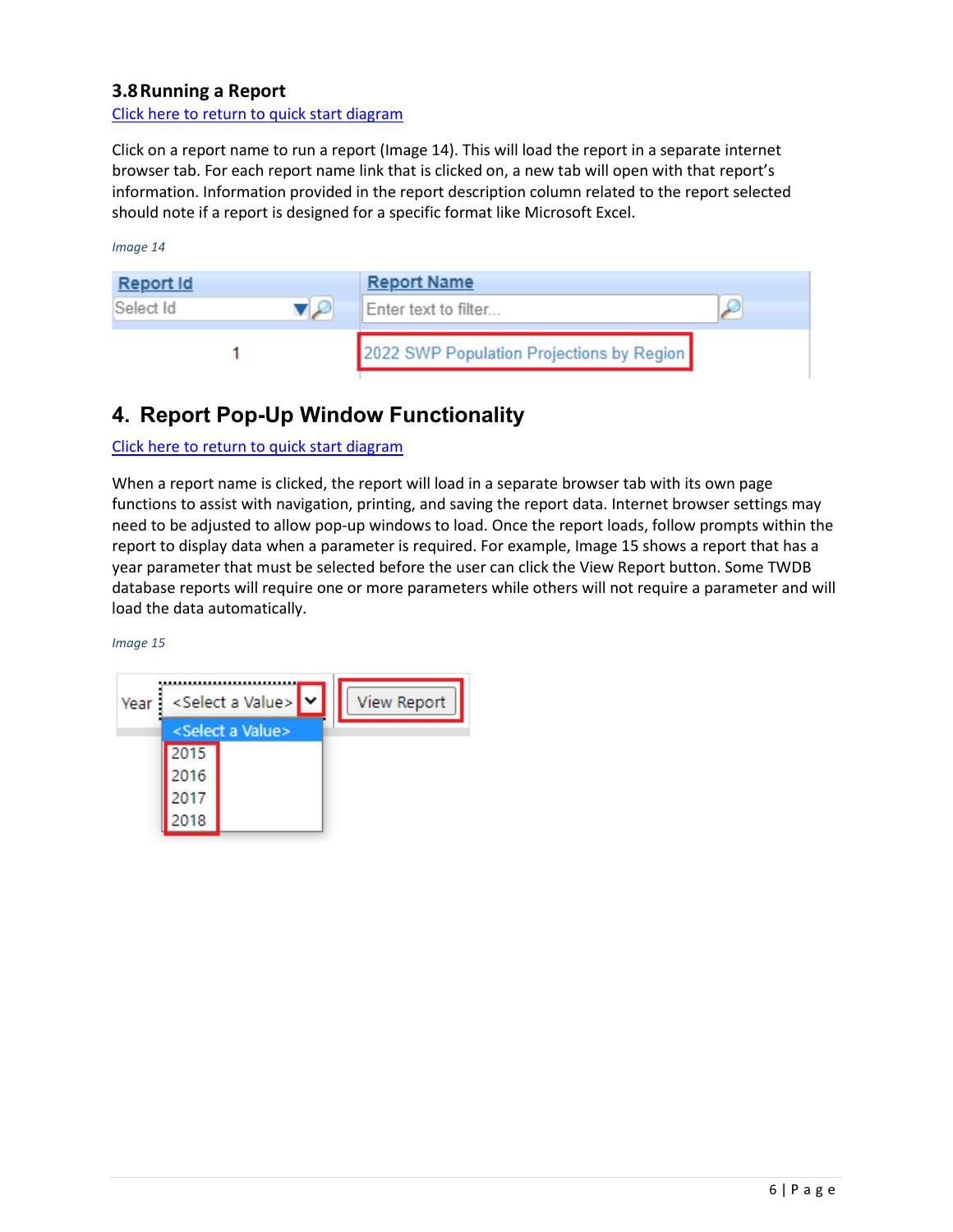# <span id="page-8-2"></span><span id="page-8-0"></span>**3.8Running a Report**

[Click here to return to quick start diagram](#page-2-0)

Click on a report name to run a report (Image 14). This will load the report in a separate internet browser tab. For each report name link that is clicked on, a new tab will open with that report's information. Information provided in the report description column related to the report selected should note if a report is designed for a specific format like Microsoft Excel.

*Image 14* 

| Report Id |    | <b>Report Name</b>                        |  |
|-----------|----|-------------------------------------------|--|
| Select Id | VW | Enter text to filter                      |  |
|           |    | 2022 SWP Population Projections by Region |  |

# <span id="page-8-1"></span>**4. Report Pop-Up Window Functionality**

[Click here to return to quick start diagram](#page-2-0)

When a report name is clicked, the report will load in a separate browser tab with its own page functions to assist with navigation, printing, and saving the report data. Internet browser settings may need to be adjusted to allow pop-up windows to load. Once the report loads, follow prompts within the report to display data when a parameter is required. For example, Image 15 shows a report that has a year parameter that must be selected before the user can click the View Report button. Some TWDB database reports will require one or more parameters while others will not require a parameter and will load the data automatically.

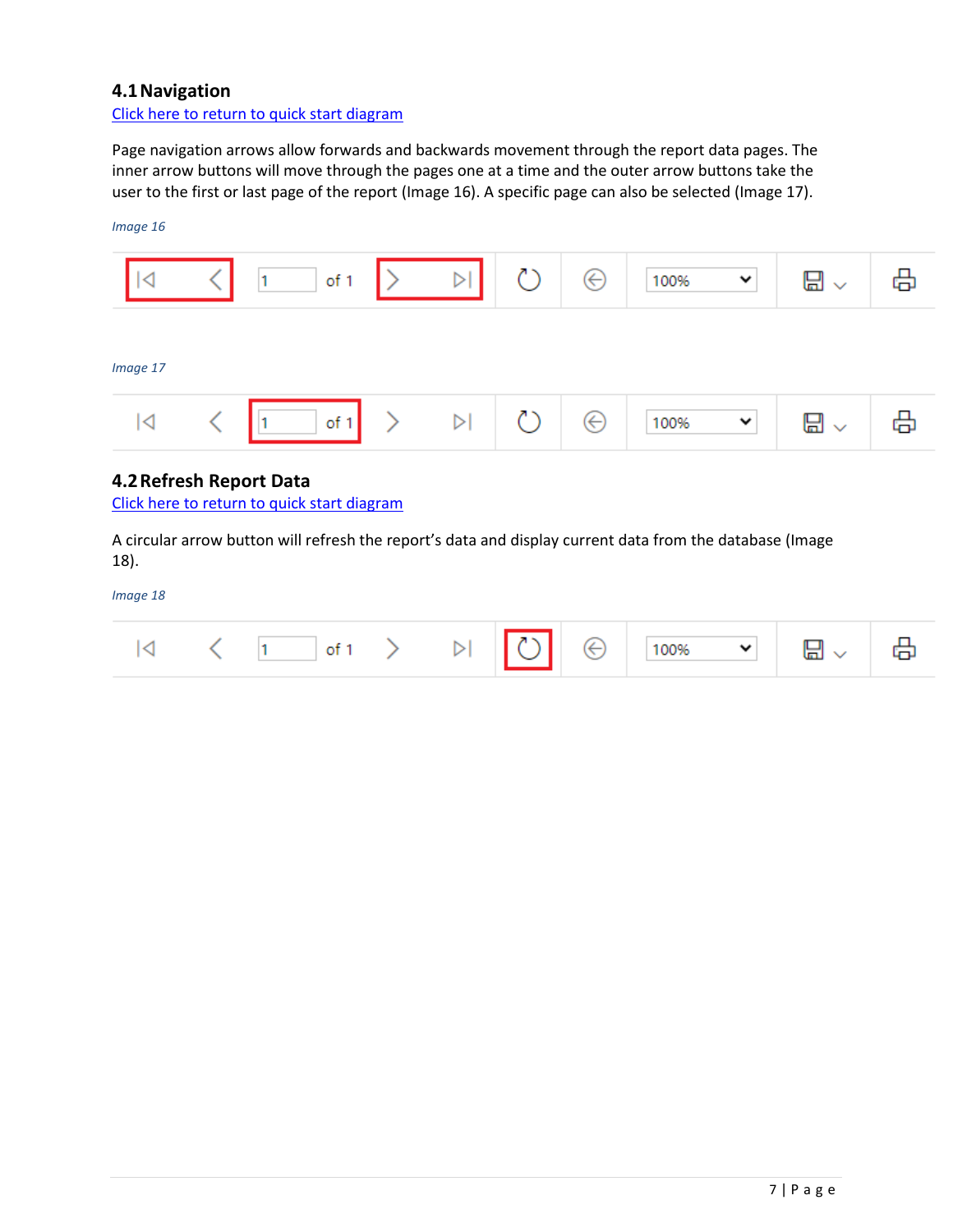## <span id="page-9-0"></span>**4.1Navigation**

[Click here to return to quick start diagram](#page-2-0)

Page navigation arrows allow forwards and backwards movement through the report data pages. The inner arrow buttons will move through the pages one at a time and the outer arrow buttons take the user to the first or last page of the report (Image 16). A specific page can also be selected (Image 17).



## <span id="page-9-1"></span>**4.2Refresh Report Data**

[Click here to return to quick start diagram](#page-2-0)

A circular arrow button will refresh the report's data and display current data from the database (Image 18).

|  |  |  |  |  |  |  |  |  |  | $ \mathcal{A}  \leq (1 - \inf 1 > 1) \sqrt{ \mathcal{C} } \cdot  \mathcal{C}  \cdot \sqrt{100\%} \cdot \sqrt{ \mathcal{C} } \cdot  \mathcal{C} $ |  |
|--|--|--|--|--|--|--|--|--|--|--------------------------------------------------------------------------------------------------------------------------------------------------|--|
|--|--|--|--|--|--|--|--|--|--|--------------------------------------------------------------------------------------------------------------------------------------------------|--|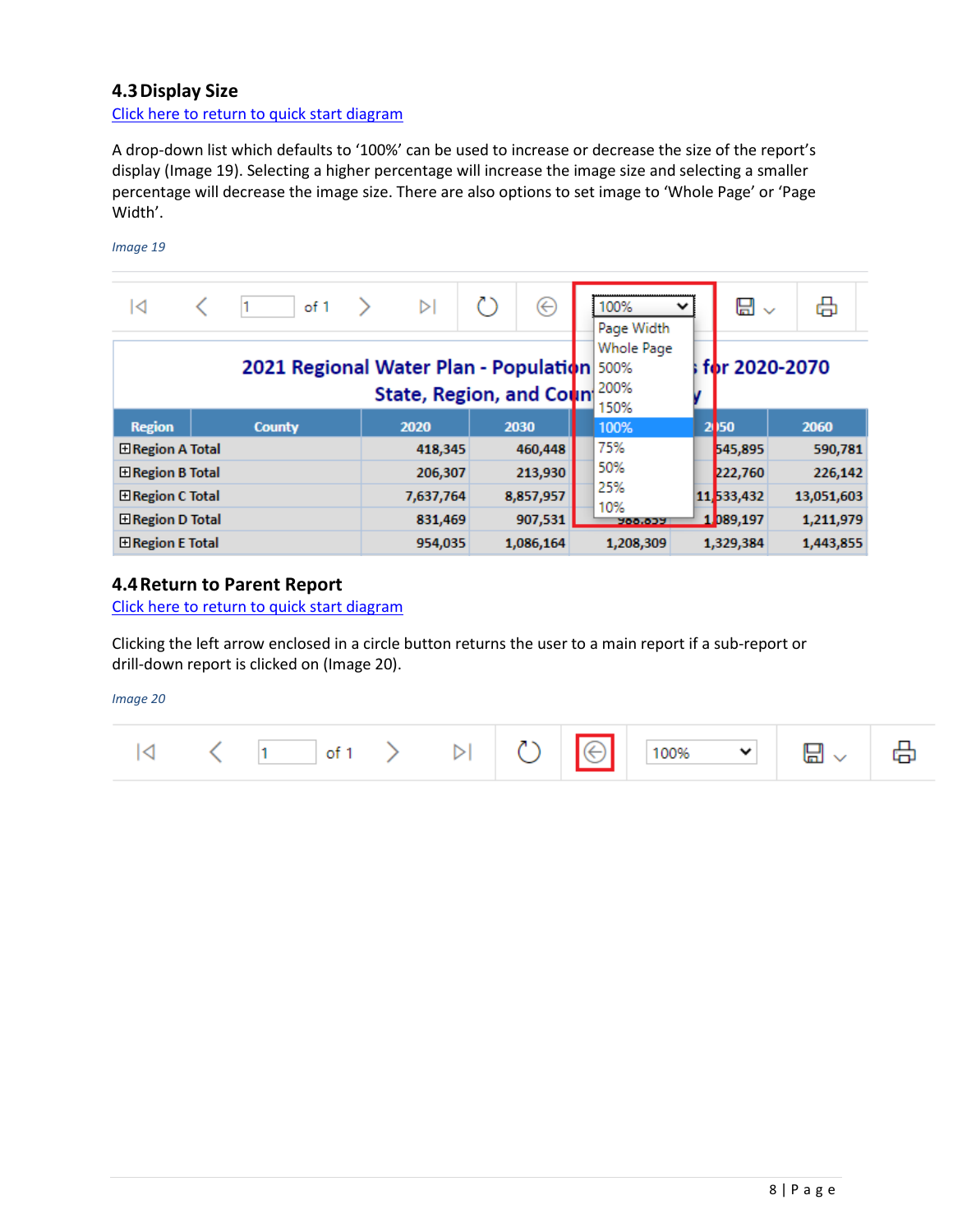## <span id="page-10-0"></span>**4.3Display Size**

[Click here to return to quick start diagram](#page-2-0)

A drop-down list which defaults to '100%' can be used to increase or decrease the size of the report's display (Image 19). Selecting a higher percentage will increase the image size and selecting a smaller percentage will decrease the image size. There are also options to set image to 'Whole Page' or 'Page Width'.

#### *Image 19*

| ∣⊲                                                                    | of 1          | ▷         | $(\Leftarrow)$ |  | 100%<br>v<br>Page Width    | ⊞ ▽        | 咼             |
|-----------------------------------------------------------------------|---------------|-----------|----------------|--|----------------------------|------------|---------------|
| 2021 Regional Water Plan - Population 500%<br>State, Region, and Coun |               |           |                |  | Whole Page<br>200%<br>150% |            | for 2020-2070 |
| <b>Region</b>                                                         | <b>County</b> | 2020      | 2030           |  | 100%                       | 2 150      | 2060          |
| <b>E</b> Region A Total                                               |               | 418,345   | 460,448        |  | 75%                        | 545,895    | 590,781       |
| <b>E</b> Region B Total                                               |               | 206,307   | 213,930        |  | 50%                        | 222,760    | 226,142       |
| 田 Region C Total                                                      |               | 7,637,764 | 8,857,957      |  | 25%<br>10%                 | 11,533,432 | 13,051,603    |
| <b>⊞Region D Total</b>                                                |               | 831,469   | 907,531        |  | <b>200.037</b>             | 1.089,197  | 1,211,979     |
| <b>Exergion E Total</b>                                               |               | 954,035   | 1,086,164      |  | 1,208,309                  | 1,329,384  | 1,443,855     |

#### <span id="page-10-1"></span>**4.4Return to Parent Report**

[Click here to return to quick start diagram](#page-2-0)

Clicking the left arrow enclosed in a circle button returns the user to a main report if a sub-report or drill-down report is clicked on (Image 20).

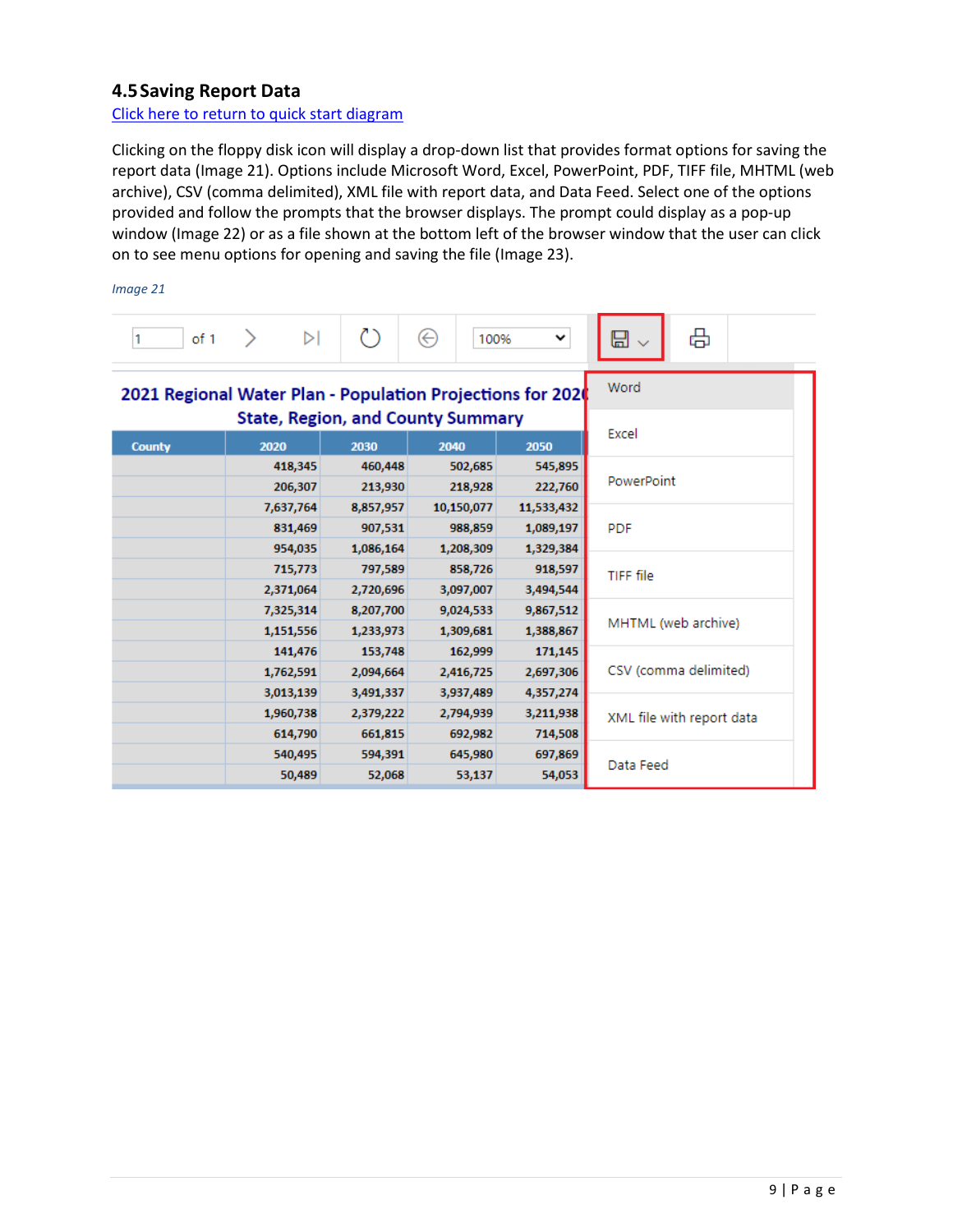# <span id="page-11-0"></span>**4.5Saving Report Data**

[Click here to return to quick start diagram](#page-2-0)

Clicking on the floppy disk icon will display a drop-down list that provides format options for saving the report data (Image 21). Options include Microsoft Word, Excel, PowerPoint, PDF, TIFF file, MHTML (web archive), CSV (comma delimited), XML file with report data, and Data Feed. Select one of the options provided and follow the prompts that the browser displays. The prompt could display as a pop-up window (Image 22) or as a file shown at the bottom left of the browser window that the user can click on to see menu options for opening and saving the file (Image 23).

| of 1<br>1     | $\triangleright$                                                                                       | ረን        | ⊝<br>100%  | v          | 咼<br>닙                    |  |  |  |
|---------------|--------------------------------------------------------------------------------------------------------|-----------|------------|------------|---------------------------|--|--|--|
|               | 2021 Regional Water Plan - Population Projections for 2020<br><b>State, Region, and County Summary</b> | Word      |            |            |                           |  |  |  |
|               |                                                                                                        | Excel     |            |            |                           |  |  |  |
| <b>County</b> | 2020                                                                                                   | 2030      | 2040       | 2050       |                           |  |  |  |
|               | 418,345                                                                                                | 460,448   | 502,685    | 545,895    |                           |  |  |  |
|               | 206,307                                                                                                | 213,930   | 218,928    | 222,760    | PowerPoint                |  |  |  |
|               | 7,637,764                                                                                              | 8,857,957 | 10,150,077 | 11,533,432 |                           |  |  |  |
|               | 831,469                                                                                                | 907,531   | 988,859    | 1,089,197  | <b>PDF</b>                |  |  |  |
|               | 954,035                                                                                                | 1,086,164 | 1,208,309  | 1,329,384  |                           |  |  |  |
|               | 715,773                                                                                                | 797,589   | 858,726    | 918,597    | TIFF file                 |  |  |  |
|               | 2,371,064                                                                                              | 2,720,696 | 3,097,007  | 3,494,544  |                           |  |  |  |
|               | 7,325,314                                                                                              | 8,207,700 | 9,024,533  | 9,867,512  |                           |  |  |  |
|               | 1,151,556                                                                                              | 1,233,973 | 1,309,681  | 1,388,867  | MHTML (web archive)       |  |  |  |
|               | 141,476                                                                                                | 153,748   | 162,999    | 171,145    |                           |  |  |  |
|               | 1,762,591                                                                                              | 2,094,664 | 2,416,725  | 2,697,306  | CSV (comma delimited)     |  |  |  |
|               | 3,013,139                                                                                              | 3,491,337 | 3,937,489  | 4,357,274  |                           |  |  |  |
|               | 1,960,738                                                                                              | 2,379,222 | 2,794,939  | 3,211,938  | XML file with report data |  |  |  |
|               | 614,790                                                                                                | 661,815   | 692,982    | 714,508    |                           |  |  |  |
|               | 540,495                                                                                                | 594,391   | 645,980    | 697,869    |                           |  |  |  |
|               | 50,489                                                                                                 | 52,068    | 53,137     | 54,053     | Data Feed                 |  |  |  |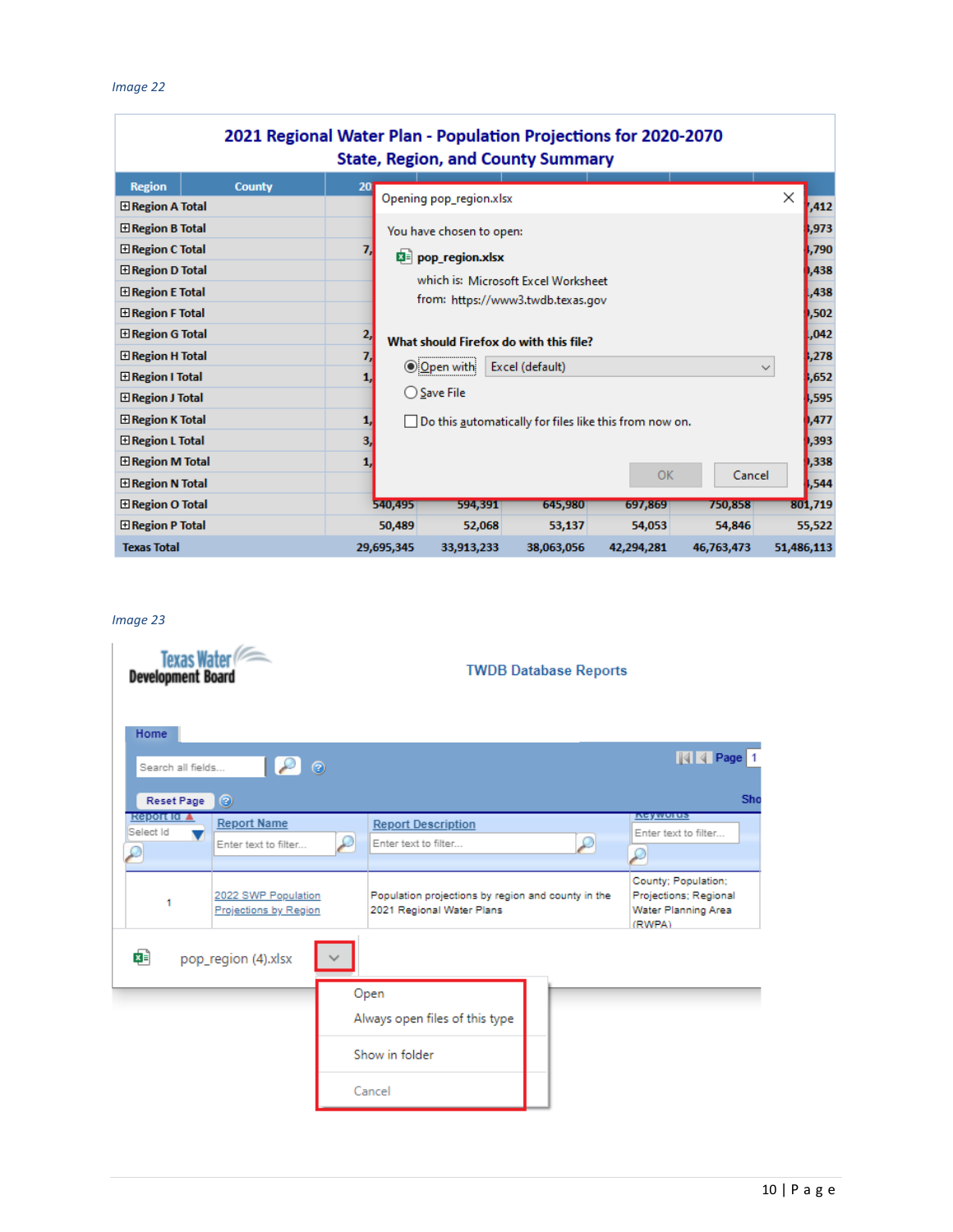| 2021 Regional Water Plan - Population Projections for 2020-2070<br><b>State, Region, and County Summary</b> |                                   |                 |                                                        |                          |                                     |            |            |            |  |  |
|-------------------------------------------------------------------------------------------------------------|-----------------------------------|-----------------|--------------------------------------------------------|--------------------------|-------------------------------------|------------|------------|------------|--|--|
|                                                                                                             |                                   |                 |                                                        |                          |                                     |            |            |            |  |  |
| <b>Region</b>                                                                                               | <b>County</b>                     | 20 <sub>l</sub> |                                                        | Opening pop_region.xlsx  |                                     |            |            | ×          |  |  |
| <b>El Region A Total</b>                                                                                    |                                   |                 |                                                        |                          |                                     |            |            | ,412       |  |  |
| <b>El Region B Total</b>                                                                                    |                                   |                 |                                                        | You have chosen to open: |                                     |            |            | ,973       |  |  |
| <b>El Region C Total</b>                                                                                    |                                   | 7,              | <b>E</b> pop_region.xlsx                               |                          |                                     |            |            |            |  |  |
| <b>El Region D Total</b>                                                                                    |                                   |                 |                                                        |                          | which is: Microsoft Excel Worksheet |            |            |            |  |  |
| <b>El Region E Total</b>                                                                                    | from: https://www3.twdb.texas.gov |                 |                                                        |                          |                                     | ,438       |            |            |  |  |
| <b>El Region F Total</b>                                                                                    |                                   |                 | 2,<br>What should Firefox do with this file?<br>7,     |                          |                                     |            |            |            |  |  |
| <b>El Region G Total</b>                                                                                    |                                   |                 |                                                        |                          |                                     |            |            |            |  |  |
| E Region H Total                                                                                            |                                   |                 |                                                        |                          |                                     |            |            |            |  |  |
| El Region I Total                                                                                           |                                   |                 | Excel (default)<br>O Open with<br>$\checkmark$         |                          |                                     |            |            | ,652       |  |  |
| <b>El Region J Total</b>                                                                                    |                                   |                 | ○ Save File                                            |                          |                                     |            |            |            |  |  |
| <b>田 Region K Total</b>                                                                                     |                                   | 1,              | Do this automatically for files like this from now on. |                          |                                     |            |            |            |  |  |
| <b>El Region L Total</b>                                                                                    |                                   | з,              |                                                        |                          |                                     |            |            | ,393       |  |  |
| <b>El Region M Total</b>                                                                                    |                                   | 1,              |                                                        |                          |                                     |            |            | ,338       |  |  |
| $\boxplus$ Region N Total                                                                                   |                                   |                 |                                                        |                          |                                     | OK         | Cancel     | ,544       |  |  |
| <b>El Region O Total</b>                                                                                    |                                   |                 | 540,495                                                | 594,391                  | 645,980                             | 697,869    | 750,858    | 801,719    |  |  |
| <b>El Region P Total</b>                                                                                    |                                   |                 | 50,489                                                 | 52,068                   | 53,137                              | 54,053     | 54,846     | 55,522     |  |  |
| <b>Texas Total</b>                                                                                          |                                   |                 | 29,695,345                                             | 33,913,233               | 38,063,056                          | 42,294,281 | 46,763,473 | 51,486,113 |  |  |

| Texas Water<br><b>Development Board</b>                                       | <b>TWDB Database Reports</b>                                                    |                                                                               |
|-------------------------------------------------------------------------------|---------------------------------------------------------------------------------|-------------------------------------------------------------------------------|
| Home<br>$\mathcal{L}$<br>- ම<br>Search all fields<br>Reset Page<br>⊚          |                                                                                 | <b>NI</b> 4 Page 1<br>Sho                                                     |
| <b>Report Id ▲</b><br><b>Report Name</b><br>Select Id<br>Enter text to filter | <b>Report Description</b><br>Enter text to filter                               | <u>ingywurus</u><br>Enter text to filter<br>Ω                                 |
| 2022 SWP Population<br>1<br>Projections by Region                             | Population projections by region and county in the<br>2021 Regional Water Plans | County; Population;<br>Projections; Regional<br>Water Planning Area<br>(RWPA) |
| ¤≡<br>pop_region (4).xlsx                                                     |                                                                                 |                                                                               |
|                                                                               | Open<br>Always open files of this type                                          |                                                                               |
|                                                                               | Show in folder                                                                  |                                                                               |
|                                                                               | Cancel                                                                          |                                                                               |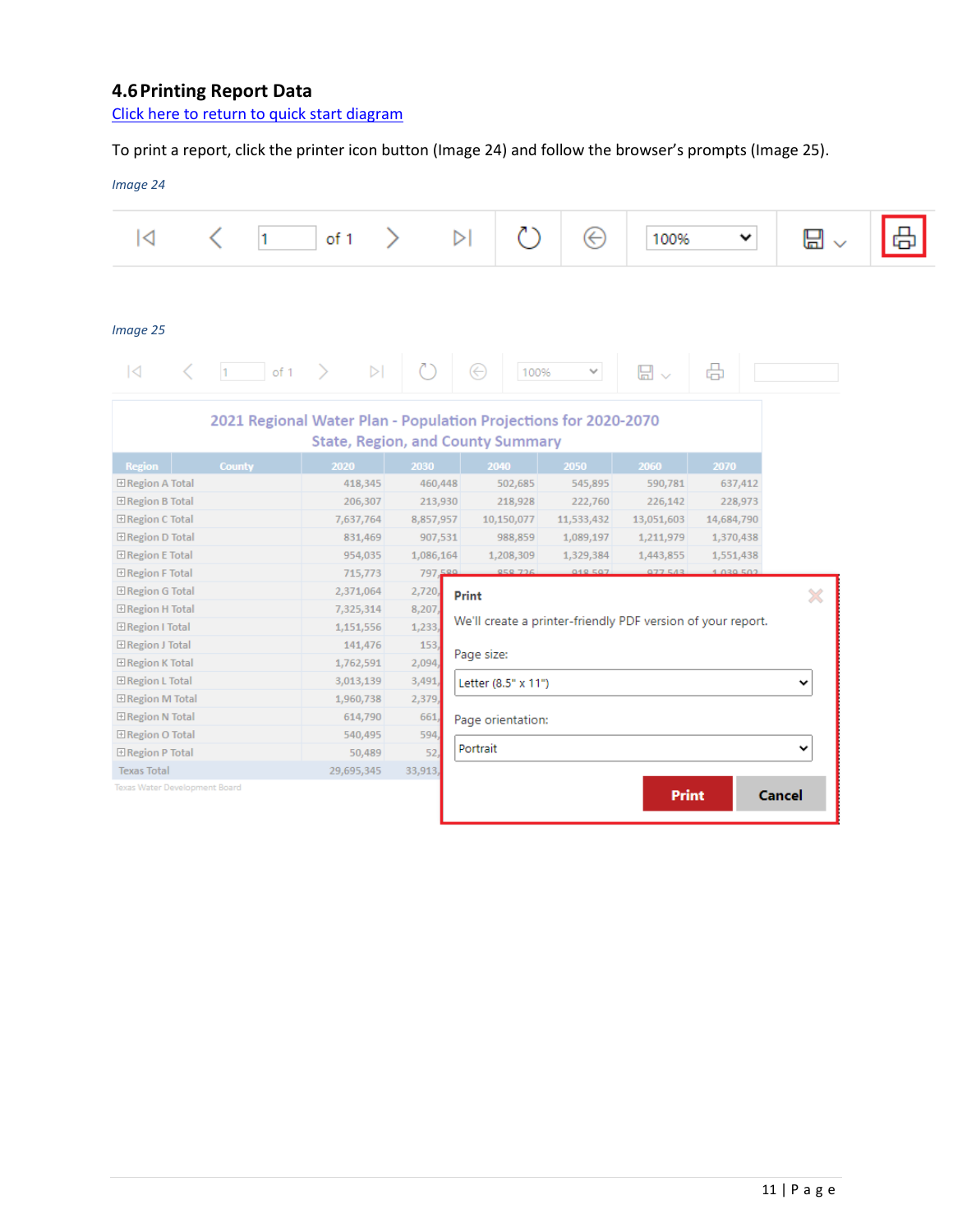# <span id="page-13-0"></span>**4.6Printing Report Data**

[Click here to return to quick start diagram](#page-2-0)

# To print a report, click the printer icon button (Image 24) and follow the browser's prompts (Image 25).

| ◁                                                                              | 1                                                               | of 1                                     | $\triangleright$                                            |                     | $(\!\!\leftarrow\!\!)$ | 100%                  | v          | ⊟        |
|--------------------------------------------------------------------------------|-----------------------------------------------------------------|------------------------------------------|-------------------------------------------------------------|---------------------|------------------------|-----------------------|------------|----------|
| Image 25                                                                       |                                                                 |                                          |                                                             |                     |                        |                       |            |          |
| K                                                                              | of 1<br>h.                                                      | $\triangleright$                         |                                                             | ⊖<br>100%           | $\checkmark$           | $\boxplus$ $\backsim$ | 咼          |          |
|                                                                                | 2021 Regional Water Plan - Population Projections for 2020-2070 | <b>State, Region, and County Summary</b> |                                                             |                     |                        |                       |            |          |
| Region                                                                         | <b>County</b>                                                   | 2020                                     | 2030                                                        | 2040                | 2050                   | 2060                  | 2070       |          |
| <b>El Region A Total</b>                                                       |                                                                 | 418,345                                  | 460,448                                                     | 502,685             | 545,895                | 590,781               | 637,412    |          |
| E Region B Total                                                               |                                                                 | 206,307                                  | 213,930                                                     | 218,928             | 222,760                | 226,142               | 228,973    |          |
| El Region C Total                                                              |                                                                 | 7,637,764                                | 8,857,957                                                   | 10,150,077          | 11,533,432             | 13,051,603            | 14,684,790 |          |
| <b>El Region D Total</b>                                                       |                                                                 | 831,469                                  | 907,531                                                     | 988,859             | 1,089,197              | 1,211,979             | 1,370,438  |          |
| <b>El Region E Total</b>                                                       |                                                                 | 954,035                                  | 1,086,164                                                   | 1,208,309           | 1,329,384              | 1,443,855             | 1,551,438  |          |
| <b>El Region F Total</b>                                                       |                                                                 | 715,773                                  | 797,580                                                     | 959 726             | 019 507                | 077543                | 1.039.502  |          |
| E Region G Total                                                               |                                                                 | 2,371,064                                | 2,720,                                                      | Print               |                        |                       |            | $\times$ |
| El Region H Total<br>7,325,314                                                 |                                                                 | 8,207                                    | We'll create a printer-friendly PDF version of your report. |                     |                        |                       |            |          |
| E Region I Total                                                               |                                                                 | 1,151,556                                | 1,233                                                       |                     |                        |                       |            |          |
| E Region J Total                                                               |                                                                 | 141,476                                  | 153                                                         | Page size:          |                        |                       |            |          |
| E Region K Total                                                               |                                                                 | 1,762,591                                | 2,094                                                       |                     |                        |                       |            |          |
| <b>El Region L Total</b>                                                       |                                                                 | 3,013,139                                | 3,491                                                       | Letter (8.5" x 11") |                        |                       |            | v        |
| <b>El Region M Total</b>                                                       |                                                                 | 1,960,738                                | 2,379                                                       |                     |                        |                       |            |          |
|                                                                                |                                                                 | 614,790                                  | 661                                                         | Page orientation:   |                        |                       |            |          |
|                                                                                |                                                                 | 540,495                                  | 594                                                         | Portrait            |                        |                       |            | v        |
|                                                                                |                                                                 |                                          |                                                             |                     |                        |                       |            |          |
| E Region N Total<br>E Region O Total<br>E Region P Total<br><b>Texas Total</b> |                                                                 | 50,489<br>29,695,345                     | 52<br>33,913,                                               |                     |                        |                       |            |          |